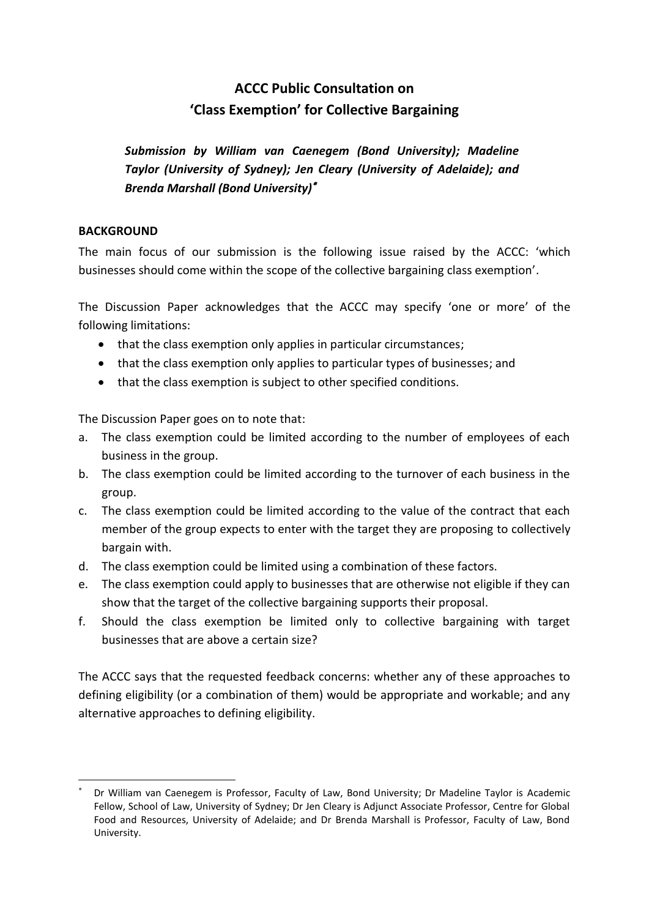# **ACCC Public Consultation on 'Class Exemption' for Collective Bargaining**

*Submission by William van Caenegem (Bond University); Madeline Taylor (University of Sydney); Jen Cleary (University of Adelaide); and Brenda Marshall (Bond University)*

#### **BACKGROUND**

**.** 

The main focus of our submission is the following issue raised by the ACCC: 'which businesses should come within the scope of the collective bargaining class exemption'.

The Discussion Paper acknowledges that the ACCC may specify 'one or more' of the following limitations:

- that the class exemption only applies in particular circumstances;
- that the class exemption only applies to particular types of businesses; and
- that the class exemption is subject to other specified conditions.

The Discussion Paper goes on to note that:

- a. The class exemption could be limited according to the number of employees of each business in the group.
- b. The class exemption could be limited according to the turnover of each business in the group.
- c. The class exemption could be limited according to the value of the contract that each member of the group expects to enter with the target they are proposing to collectively bargain with.
- d. The class exemption could be limited using a combination of these factors.
- e. The class exemption could apply to businesses that are otherwise not eligible if they can show that the target of the collective bargaining supports their proposal.
- f. Should the class exemption be limited only to collective bargaining with target businesses that are above a certain size?

The ACCC says that the requested feedback concerns: whether any of these approaches to defining eligibility (or a combination of them) would be appropriate and workable; and any alternative approaches to defining eligibility.

<sup>×</sup>  Dr William van Caenegem is Professor, Faculty of Law, Bond University; Dr Madeline Taylor is Academic Fellow, School of Law, University of Sydney; Dr Jen Cleary is Adjunct Associate Professor, Centre for Global Food and Resources, University of Adelaide; and Dr Brenda Marshall is Professor, Faculty of Law, Bond University.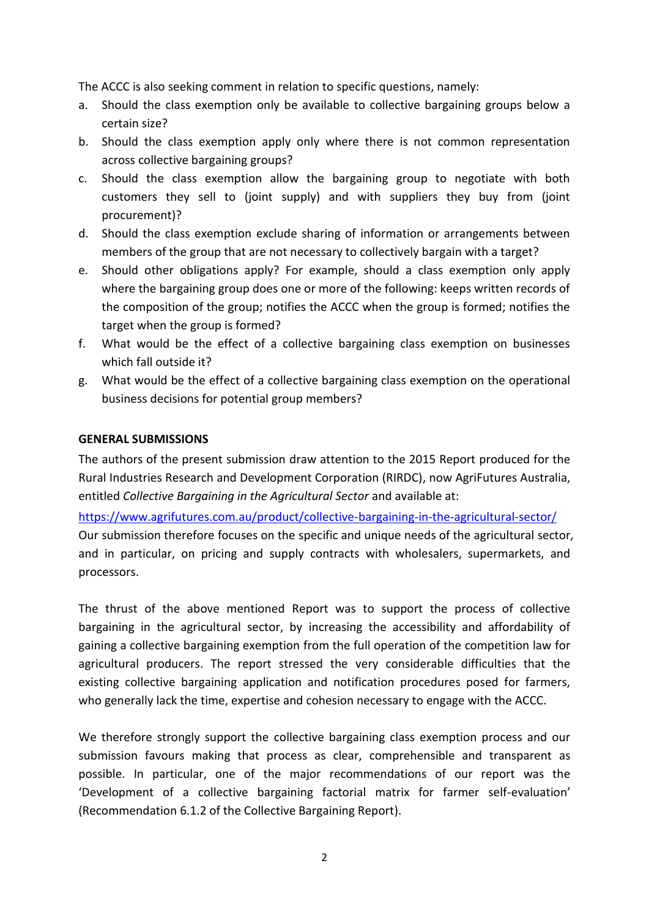The ACCC is also seeking comment in relation to specific questions, namely:

- a. Should the class exemption only be available to collective bargaining groups below a certain size?
- b. Should the class exemption apply only where there is not common representation across collective bargaining groups?
- c. Should the class exemption allow the bargaining group to negotiate with both customers they sell to (joint supply) and with suppliers they buy from (joint procurement)?
- d. Should the class exemption exclude sharing of information or arrangements between members of the group that are not necessary to collectively bargain with a target?
- e. Should other obligations apply? For example, should a class exemption only apply where the bargaining group does one or more of the following: keeps written records of the composition of the group; notifies the ACCC when the group is formed; notifies the target when the group is formed?
- f. What would be the effect of a collective bargaining class exemption on businesses which fall outside it?
- g. What would be the effect of a collective bargaining class exemption on the operational business decisions for potential group members?

#### **GENERAL SUBMISSIONS**

The authors of the present submission draw attention to the 2015 Report produced for the Rural Industries Research and Development Corporation (RIRDC), now AgriFutures Australia, entitled *Collective Bargaining in the Agricultural Sector* and available at:

https://www.agrifutures.com.au/product/collective-bargaining-in-the-agricultural-sector/

Our submission therefore focuses on the specific and unique needs of the agricultural sector, and in particular, on pricing and supply contracts with wholesalers, supermarkets, and processors.

The thrust of the above mentioned Report was to support the process of collective bargaining in the agricultural sector, by increasing the accessibility and affordability of gaining a collective bargaining exemption from the full operation of the competition law for agricultural producers. The report stressed the very considerable difficulties that the existing collective bargaining application and notification procedures posed for farmers, who generally lack the time, expertise and cohesion necessary to engage with the ACCC.

We therefore strongly support the collective bargaining class exemption process and our submission favours making that process as clear, comprehensible and transparent as possible. In particular, one of the major recommendations of our report was the 'Development of a collective bargaining factorial matrix for farmer self-evaluation' (Recommendation 6.1.2 of the Collective Bargaining Report).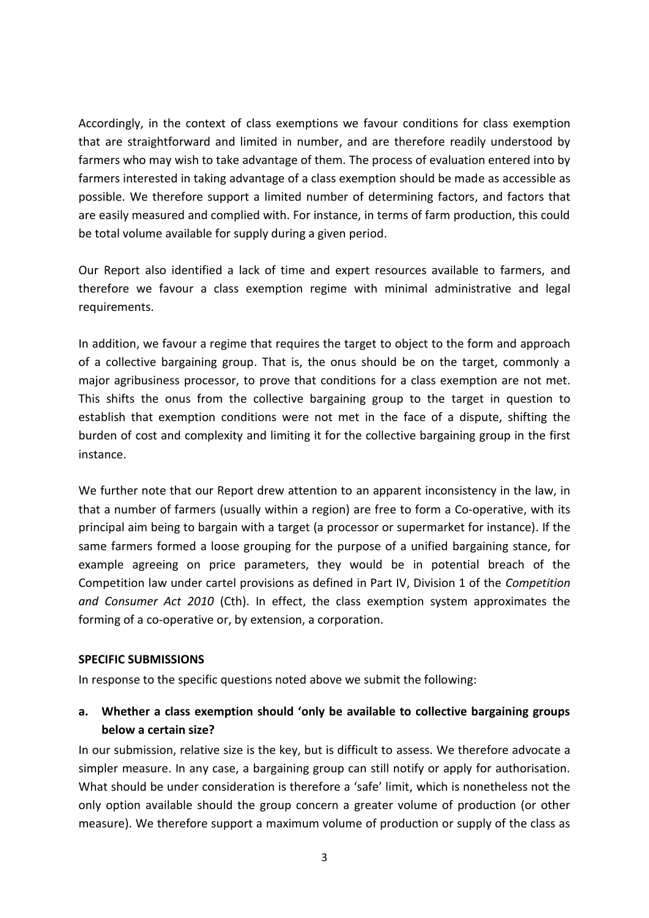Accordingly, in the context of class exemptions we favour conditions for class exemption that are straightforward and limited in number, and are therefore readily understood by farmers who may wish to take advantage of them. The process of evaluation entered into by farmers interested in taking advantage of a class exemption should be made as accessible as possible. We therefore support a limited number of determining factors, and factors that are easily measured and complied with. For instance, in terms of farm production, this could be total volume available for supply during a given period.

Our Report also identified a lack of time and expert resources available to farmers, and therefore we favour a class exemption regime with minimal administrative and legal requirements.

In addition, we favour a regime that requires the target to object to the form and approach of a collective bargaining group. That is, the onus should be on the target, commonly a major agribusiness processor, to prove that conditions for a class exemption are not met. This shifts the onus from the collective bargaining group to the target in question to establish that exemption conditions were not met in the face of a dispute, shifting the burden of cost and complexity and limiting it for the collective bargaining group in the first instance.

We further note that our Report drew attention to an apparent inconsistency in the law, in that a number of farmers (usually within a region) are free to form a Co-operative, with its principal aim being to bargain with a target (a processor or supermarket for instance). If the same farmers formed a loose grouping for the purpose of a unified bargaining stance, for example agreeing on price parameters, they would be in potential breach of the Competition law under cartel provisions as defined in Part IV, Division 1 of the *Competition and Consumer Act 2010* (Cth). In effect, the class exemption system approximates the forming of a co-operative or, by extension, a corporation.

#### **SPECIFIC SUBMISSIONS**

In response to the specific questions noted above we submit the following:

## **a. Whether a class exemption should 'only be available to collective bargaining groups below a certain size?**

In our submission, relative size is the key, but is difficult to assess. We therefore advocate a simpler measure. In any case, a bargaining group can still notify or apply for authorisation. What should be under consideration is therefore a 'safe' limit, which is nonetheless not the only option available should the group concern a greater volume of production (or other measure). We therefore support a maximum volume of production or supply of the class as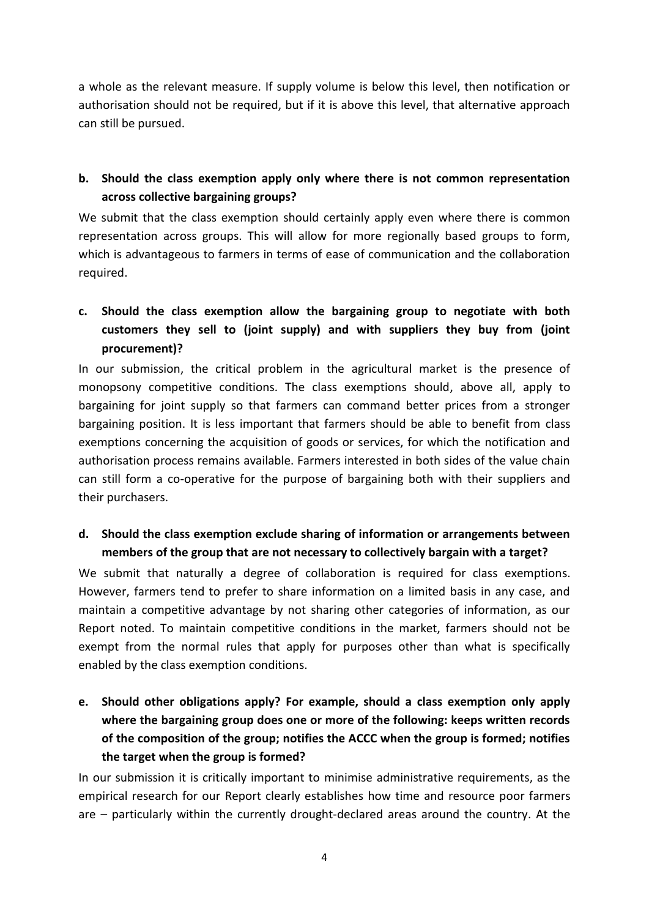a whole as the relevant measure. If supply volume is below this level, then notification or authorisation should not be required, but if it is above this level, that alternative approach can still be pursued.

## **b. Should the class exemption apply only where there is not common representation across collective bargaining groups?**

We submit that the class exemption should certainly apply even where there is common representation across groups. This will allow for more regionally based groups to form, which is advantageous to farmers in terms of ease of communication and the collaboration required.

## **c. Should the class exemption allow the bargaining group to negotiate with both customers they sell to (joint supply) and with suppliers they buy from (joint procurement)?**

In our submission, the critical problem in the agricultural market is the presence of monopsony competitive conditions. The class exemptions should, above all, apply to bargaining for joint supply so that farmers can command better prices from a stronger bargaining position. It is less important that farmers should be able to benefit from class exemptions concerning the acquisition of goods or services, for which the notification and authorisation process remains available. Farmers interested in both sides of the value chain can still form a co-operative for the purpose of bargaining both with their suppliers and their purchasers.

## **d. Should the class exemption exclude sharing of information or arrangements between members of the group that are not necessary to collectively bargain with a target?**

We submit that naturally a degree of collaboration is required for class exemptions. However, farmers tend to prefer to share information on a limited basis in any case, and maintain a competitive advantage by not sharing other categories of information, as our Report noted. To maintain competitive conditions in the market, farmers should not be exempt from the normal rules that apply for purposes other than what is specifically enabled by the class exemption conditions.

**e. Should other obligations apply? For example, should a class exemption only apply where the bargaining group does one or more of the following: keeps written records of the composition of the group; notifies the ACCC when the group is formed; notifies the target when the group is formed?** 

In our submission it is critically important to minimise administrative requirements, as the empirical research for our Report clearly establishes how time and resource poor farmers are – particularly within the currently drought-declared areas around the country. At the